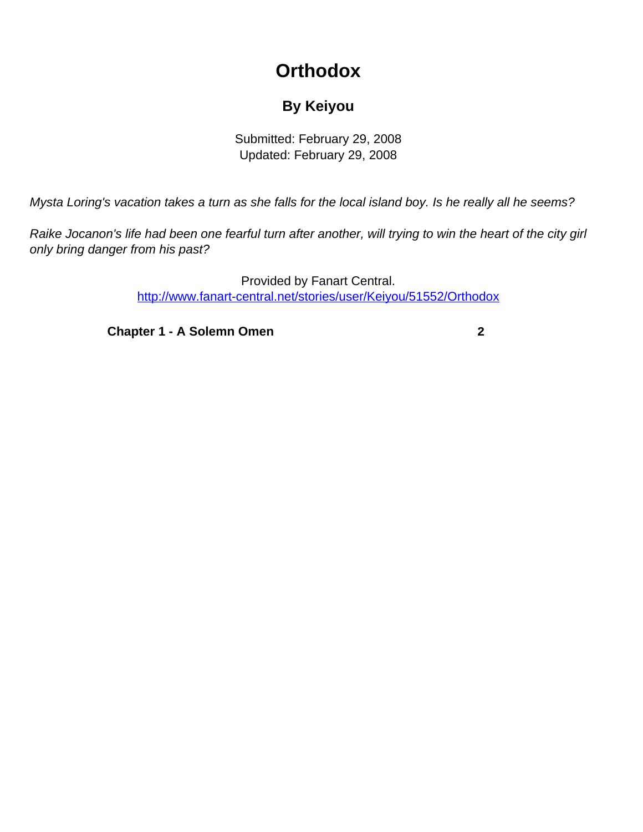## **Orthodox**

## **By Keiyou**

Submitted: February 29, 2008 Updated: February 29, 2008

<span id="page-0-0"></span>Mysta Loring's vacation takes a turn as she falls for the local island boy. Is he really all he seems?

Raike Jocanon's life had been one fearful turn after another, will trying to win the heart of the city girl only bring danger from his past?

> Provided by Fanart Central. [http://www.fanart-central.net/stories/user/Keiyou/51552/Orthodox](#page-0-0)

**[Chapter 1 - A Solemn Omen](#page-1-0) [2](#page-1-0)**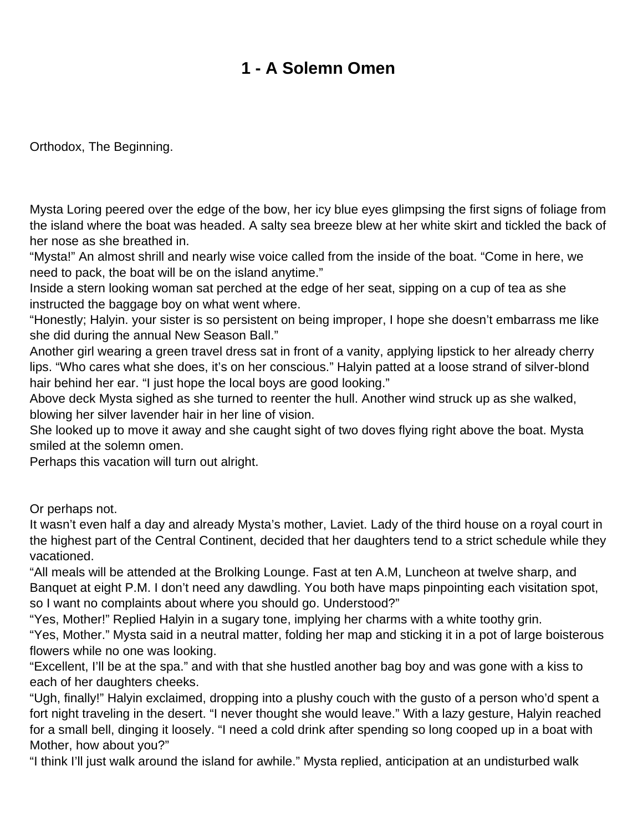## **1 - A Solemn Omen**

<span id="page-1-0"></span>Orthodox, The Beginning.

Mysta Loring peered over the edge of the bow, her icy blue eyes glimpsing the first signs of foliage from the island where the boat was headed. A salty sea breeze blew at her white skirt and tickled the back of her nose as she breathed in.

"Mysta!" An almost shrill and nearly wise voice called from the inside of the boat. "Come in here, we need to pack, the boat will be on the island anytime."

Inside a stern looking woman sat perched at the edge of her seat, sipping on a cup of tea as she instructed the baggage boy on what went where.

"Honestly; Halyin. your sister is so persistent on being improper, I hope she doesn't embarrass me like she did during the annual New Season Ball."

Another girl wearing a green travel dress sat in front of a vanity, applying lipstick to her already cherry lips. "Who cares what she does, it's on her conscious." Halyin patted at a loose strand of silver-blond hair behind her ear. "I just hope the local boys are good looking."

Above deck Mysta sighed as she turned to reenter the hull. Another wind struck up as she walked, blowing her silver lavender hair in her line of vision.

She looked up to move it away and she caught sight of two doves flying right above the boat. Mysta smiled at the solemn omen.

Perhaps this vacation will turn out alright.

Or perhaps not.

It wasn't even half a day and already Mysta's mother, Laviet. Lady of the third house on a royal court in the highest part of the Central Continent, decided that her daughters tend to a strict schedule while they vacationed.

"All meals will be attended at the Brolking Lounge. Fast at ten A.M, Luncheon at twelve sharp, and Banquet at eight P.M. I don't need any dawdling. You both have maps pinpointing each visitation spot, so I want no complaints about where you should go. Understood?"

"Yes, Mother!" Replied Halyin in a sugary tone, implying her charms with a white toothy grin.

"Yes, Mother." Mysta said in a neutral matter, folding her map and sticking it in a pot of large boisterous flowers while no one was looking.

"Excellent, I'll be at the spa." and with that she hustled another bag boy and was gone with a kiss to each of her daughters cheeks.

"Ugh, finally!" Halyin exclaimed, dropping into a plushy couch with the gusto of a person who'd spent a fort night traveling in the desert. "I never thought she would leave." With a lazy gesture, Halyin reached for a small bell, dinging it loosely. "I need a cold drink after spending so long cooped up in a boat with Mother, how about you?"

"I think I'll just walk around the island for awhile." Mysta replied, anticipation at an undisturbed walk